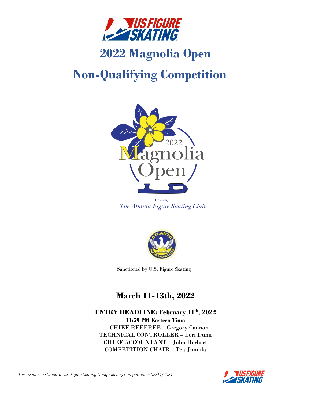

# **2022 Magnolia Open**

# **Non-Qualifying Competition**



The Atlanta Figure Skating Club



Sanctioned by U.S. Figure Skating

# **March 11-13th, 2022**

**ENTRY DEADLINE: February 11th , 2022 11:59 PM Eastern Time** CHIEF REFEREE – Gregory Cannon TECHNICAL CONTROLLER – Lori Dunn CHIEF ACCOUNTANT – John Herbert COMPETITION CHAIR – Tea Junnila

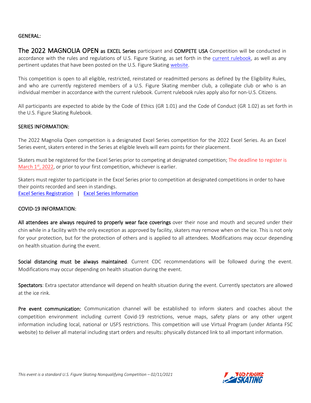# GENERAL:

The 2022 MAGNOLIA OPEN as EXCEL Series participant and COMPETE USA Competition will be conducted in accordance with the rules and regulations of U.S. Figure Skating, as set forth in the [current rulebook,](https://www.usfigureskating.org/about/rules) as well as any pertinent updates that have been posted on the U.S. Figure Skatin[g website.](https://www.usfigureskating.org/members-only/members/technical-notifications)

This competition is open to all eligible, restricted, reinstated or readmitted persons as defined by the Eligibility Rules, and who are currently registered members of a U.S. Figure Skating member club, a collegiate club or who is an individual member in accordance with the current rulebook. Current rulebook rules apply also for non-U.S. Citizens.

All participants are expected to abide by the Code of Ethics (GR 1.01) and the Code of Conduct (GR 1.02) as set forth in the U.S. Figure Skating [Rulebook.](https://www.usfigureskating.org/about/rules)

### SERIES INFORMATION:

The 2022 Magnolia Open competition is a designated Excel Series competition for the 2022 Excel Series. As an Excel Series event, skaters entered in the Series at eligible levels will earn points for their placement.

Skaters must be registered for the Excel Series prior to competing at designated competition; The deadline to register is March  $1<sup>st</sup>$ , 2022, or prior to your first competition, whichever is earlier.

Skaters must register to participate in the Excel Series prior to competition at designated competitions in order to have their points recorded and seen in standings. [Excel Series Registration](https://m.usfigureskating.org/series/registration/overview/9?id=9) | [Excel Series Information](https://www.usfigureskating.org/members-only/skating-opportunities/excel/series-info)

### COVID-19 INFORMATION:

All attendees are always required to properly wear face coverings over their nose and mouth and secured under their chin while in a facility with the only exception as approved by facility, skaters may remove when on the ice. This is not only for your protection, but for the protection of others and is applied to all attendees. Modifications may occur depending on health situation during the event.

Social distancing must be always maintained. Current CDC recommendations will be followed during the event. Modifications may occur depending on health situation during the event.

Spectators: Extra spectator attendance will depend on health situation during the event. Currently spectators are allowed at the ice rink.

Pre event communication: Communication channel will be established to inform skaters and coaches about the competition environment including current Covid-19 restrictions, venue maps, safety plans or any other urgent information including local, national or USFS restrictions. This competition will use Virtual Program (under Atlanta FSC website) to deliver all material including start orders and results: physically distanced link to all important information.

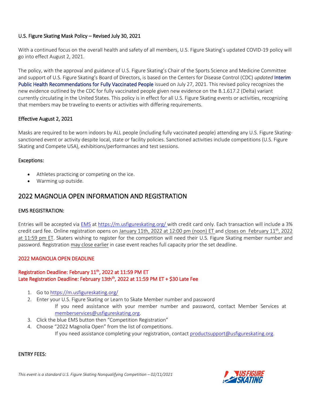# U.S. Figure Skating Mask Policy – Revised July 30, 2021

With a continued focus on the overall health and safety of all members, U.S. Figure Skating's updated COVID-19 policy will go into effect August 2, 2021.

The policy, with the approval and guidance of U.S. Figure Skating's Chair of the Sports Science and Medicine Committee and support of U.S. Figure Skating's Board of Directors, is based on the Centers for Disease Control (CDC) *updated* [Interim](https://na01.safelinks.protection.outlook.com/?url=https%3A%2F%2Fwww.cdc.gov%2Fcoronavirus%2F2019-ncov%2Fvaccines%2Ffully-vaccinated-guidance.html&data=04%7C01%7C%7Ca18111d9ef154ddb664e08d9514a6ad3%7C84df9e7fe9f640afb435aaaaaaaaaaaa%7C1%7C0%7C637630202536188184%7CUnknown%7CTWFpbGZsb3d8eyJWIjoiMC4wLjAwMDAiLCJQIjoiV2luMzIiLCJBTiI6Ik1haWwiLCJXVCI6Mn0%3D%7C1000&sdata=1Hrx3eCZqTgek218PfU%2BFN1wirAtgxxMJB1bxDzEw%2Fc%3D&reserved=0)  [Public Health Recommendations for Fully Vaccinated People](https://na01.safelinks.protection.outlook.com/?url=https%3A%2F%2Fwww.cdc.gov%2Fcoronavirus%2F2019-ncov%2Fvaccines%2Ffully-vaccinated-guidance.html&data=04%7C01%7C%7Ca18111d9ef154ddb664e08d9514a6ad3%7C84df9e7fe9f640afb435aaaaaaaaaaaa%7C1%7C0%7C637630202536188184%7CUnknown%7CTWFpbGZsb3d8eyJWIjoiMC4wLjAwMDAiLCJQIjoiV2luMzIiLCJBTiI6Ik1haWwiLCJXVCI6Mn0%3D%7C1000&sdata=1Hrx3eCZqTgek218PfU%2BFN1wirAtgxxMJB1bxDzEw%2Fc%3D&reserved=0) issued on July 27, 2021. This revised policy recognizes the new evidence outlined by the CDC for fully vaccinated people given new evidence on the B.1.617.2 (Delta) variant currently circulating in the United States. This policy is in effect for all U.S. Figure Skating events or activities, recognizing that members may be traveling to events or activities with differing requirements.

# Effective August 2, 2021

Masks are required to be worn indoors by ALL people (including fully vaccinated people) attending any U.S. Figure Skatingsanctioned event or activity despite local, state or facility policies. Sanctioned activities include competitions (U.S. Figure Skating and Compete USA), exhibitions/performances and test sessions.

### Exceptions:

- Athletes practicing or competing on the ice.
- Warming up outside.

# 2022 MAGNOLIA OPEN INFORMATION AND REGISTRATION

### EMS REGISTRATION:

Entries will be accepted via [EMS](https://m.usfigureskating.org/competition-registration/) at <https://m.usfigureskating.org/> with credit card only. Each transaction will include a 3% credit card fee. Online registration opens on January 11th, 2022 at 12:00 pm (noon) ET and closes on February  $11^{th}$ , 2022 at 11:59 pm ET. Skaters wishing to register for the competition will need their U.S. Figure Skating member number and password. Registration may close earlier in case event reaches full capacity prior the set deadline.

### 2022 MAGNOLIA OPEN DEADLINE

# Registration Deadline: February 11<sup>th</sup>, 2022 at 11:59 PM ET Late Registration Deadline: February 13th<sup>th</sup>, 2022 at 11:59 PM ET + \$30 Late Fee

- 1. Go to<https://m.usfigureskating.org/>
- 2. Enter your U.S. Figure Skating or Learn to Skate Member number and password If you need assistance with your member number and password, contact Member Services at [memberservices@usfigureskating.org.](mailto:memberservices@usfigureskating.org)
- 3. Click the blue EMS button then "Competition Registration"
- 4. Choose "2022 Magnolia Open" from the list of competitions. If you need assistance completing your registration, contact [productsupport@usfigureskating.org.](mailto:productsupport@usfigureskating.org)

### ENTRY FEES:

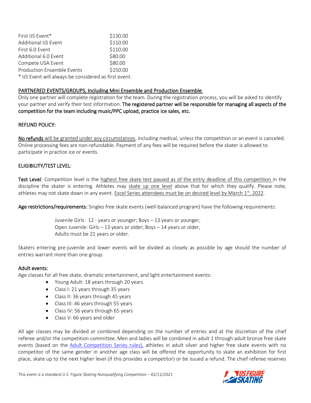| First IJS Event*                                      | \$130.00 |
|-------------------------------------------------------|----------|
| Additional IJS Event                                  | \$110.00 |
| First 6.0 Event                                       | \$110.00 |
| Additional 6.0 Event                                  | \$80.00  |
| Compete USA Event                                     | \$80.00  |
| <b>Production Ensemble Events</b>                     | \$150.00 |
| * IJS Event will always be considered as first event. |          |

# PARTNERED EVENTS/GROUPS, Including Mini Ensemble and Production Ensemble:

Only one partner will complete registration for the team. During the registration process, you will be asked to identify your partner and verify their test information. The registered partner will be responsible for managing all aspects of the competition for the team including music/PPC upload, practice ice sales, etc.

# REFUND POLICY:

No refunds will be granted under any circumstances, including medical, unless the competition or an event is canceled. Online processing fees are non-refundable. Payment of any fees will be required before the skater is allowed to participate in practice ice or events.

### ELIGIBILITY/TEST LEVEL:

Test Level: Competition level is the highest free skate test passed as of the entry deadline of this competition in the discipline the skater is entering. Athletes may skate up one level above that for which they qualify. Please note, athletes may not skate down in any event. Excel Series attendees must be on desired level by March 1st, 2022.

Age restrictions/requirements: Singles free skate events (well-balanced program) have the following requirements:

Juvenile Girls: 12 - years or younger; Boys – 13 years or younger, Open Juvenile: Girls – 13 years or older; Boys – 14 years or older, Adults must be 21 years or older.

Skaters entering pre-juvenile and lower events will be divided as closely as possible by age should the number of entries warrant more than one group.

### Adult events:

Age classes for all free skate, dramatic entertainment, and light entertainment events:

- Young Adult: 18 years through 20 years
- Class I: 21 years through 35 years
- Class II: 36 years through 45 years
- Class III: 46 years through 55 years
- Class IV: 56 years through 65 years
- Class V: 66 years and older

All age classes may be divided or combined depending on the number of entries and at the discretion of the chief referee and/or the competition committee. Men and ladies will be combined in adult 1 through adult bronze free skate events (based on the Adult [Competition Series rules\),](https://www.usfigureskating.org/skate/skating-opportunities/adult-skating) athletes in adult silver and higher free skate events with no competitor of the same gender in another age class will be offered the opportunity to skate an exhibition for first place, skate up to the next higher level (if this provides a competitor) or be issued a refund. The chief referee reserves

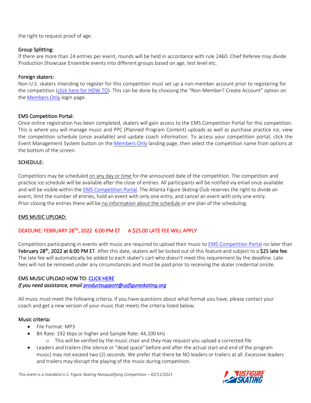the right to request proof of age.

# Group Splitting:

If there are more than 24 entries per event, rounds will be held in accordance with rule 2460. Chief Referee may divide Production Showcase Ensemble events into different groups based on age, test level etc.

# Foreign skaters:

Non-U.S. skaters intending to register for this competition must set up a non-member account prior to registering for the competition [\(click here for HOW TO](https://public.3.basecamp.com/p/GwrcZ9DuXrqkxKykKbYQxJGn)). This can be done by choosing the "Non-Member? Create Account" option on the **Members Only** login page.

# EMS Competition Portal:

Once online registration has been completed, skaters will gain access to the EMS Competition Portal for this competition. This is where you will manage music and PPC (Planned Program Content) uploads as well as purchase practice ice, view the competition schedule (once available) and update coach information. To access your competition portal, click the Event Management System button on the [Members](https://m.usfigureskating.org/ems/) Only landing page, then select the competition name from options at the bottom of the screen.

# SCHEDULE:

Competitors may be scheduled on any day or time for the announced date of the competition. The competition and practice ice schedule will be available after the close of entries. All participants will be notified via email once available and will be visible within th[e EMS Competition Portal.](https://m.usfigureskating.org/competition/30441) The Atlanta Figure Skating Club reserves the right to divide an event, limit the number of entries, hold an event with only one entry, and cancel an event with only one entry. Prior closing the entries there will be no information about the schedule or pre plan of the scheduling.

# EMS MUSIC UPLOAD:

# DEADLINE: FEBRUARY 28TH, 2022 6:00 PM ET A \$25.00 LATE FEE WILL APPLY

Competitors participating in events with music are required to upload their music to [EMS Competition Portal](https://m.usfigureskating.org/competition/30441) no later than February 28<sup>th</sup>, 2022 at 6:00 PM ET. After this date, skaters will be locked out of this feature and subject to a \$25 late fee. The late fee will automatically be added to each skater's cart who doesn't meet this requirement by the deadline. Late fees will not be removed under any circumstances and must be paid prior to receiving the skater credential onsite.

# EMS MUSIC UPLOAD HOW TO: [CLICK HERE](https://public.3.basecamp.com/p/ycj6D89r1GruJVv8oTSWXUqW)

*If you need assistance, email [productsupport@usfigureskating.org](mailto:productsupport@usfigureskating.org)* 

All music must meet the following criteria. If you have questions about what format you have, please contact your coach and get a new version of your music that meets the criteria listed below.

# Music criteria:

- File Format: MP3
- Bit Rate: 192 kbps or higher and Sample Rate: 44,100 kHz
	- o This will be verified by the music chair and they may request you upload a corrected file
- Leaders and trailers (the silence or "dead space" before and after the actual start and end of the program music) may not exceed two (2) seconds. We prefer that there be NO leaders or trailers at all. Excessive leaders and trailers may disrupt the playing of the music during competition.

*This event is a standard U.S. Figure Skating Nonqualifying Competition – 02/11/2021*

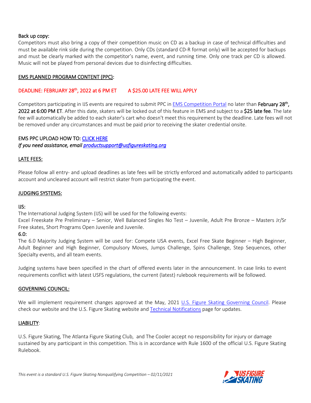# Back up copy:

Competitors must also bring a copy of their competition music on CD as a backup in case of technical difficulties and must be available rink side during the competition. Only CDs (standard CD-R format only) will be accepted for backups and must be clearly marked with the competitor's name, event, and running time. Only one track per CD is allowed. Music will not be played from personal devices due to disinfecting difficulties.

# EMS PLANNED PROGRAM CONTENT (PPC):

# DEADLINE: FEBRUARY 28<sup>th</sup>, 2022 at 6 PM ET A \$25.00 LATE FEE WILL APPLY

Competitors participating in IJS events are required to submit PPC in [EMS Competition Portal](https://m.usfigureskating.org/competition/30441) no later than February 28<sup>th</sup>, 2022 at 6:00 PM ET. After this date, skaters will be locked out of this feature in EMS and subject to a \$25 late fee. The late fee will automatically be added to each skater's cart who doesn't meet this requirement by the deadline. Late fees will not be removed under any circumstances and must be paid prior to receiving the skater credential onsite.

# EMS PPC UPLOAD HOW TO[: CLICK HERE](https://public.3.basecamp.com/p/bJNALQ6nPYrJUH2YKAjQ2tMB)

*If you need assistance, email [productsupport@usfigureskating.org](mailto:productsupport@usfigureskating.org)* 

# LATE FEES:

Please follow all entry- and upload deadlines as late fees will be strictly enforced and automatically added to participants account and uncleared account will restrict skater from participating the event.

# JUDGING SYSTEMS:

### IJS:

The International Judging System (IJS) will be used for the following events:

Excel Freeskate Pre Preliminary – Senior, Well Balanced Singles No Test – Juvenile, Adult Pre Bronze – Masters Jr/Sr Free skates, Short Programs Open Juvenile and Juvenile.

# 6.0:

The 6.0 Majority Judging System will be used for: Compete USA events, Excel Free Skate Beginner – High Beginner, Adult Beginner and High Beginner, Compulsory Moves, Jumps Challenge, Spins Challenge, Step Sequences, other Specialty events, and all team events.

Judging systems have been specified in the chart of offered events later in the announcement. In case links to event requirements conflict with latest USFS regulations, the current (latest) rulebook requirements will be followed.

### GOVERNING COUNCIL:

We will implement requirement changes approved at the May, 2021 [U.S. Figure Skating Governing Council.](https://www.usfigureskating.org/members-only/leadership/governing-council) Please check our website and the U.S. Figure Skating website and [Technical Notifications](https://www.usfigureskating.org/members-only/members/technical-notifications) page for updates.

### LIABILITY:

U.S. Figure Skating, The Atlanta Figure Skating Club, and The Cooler accept no responsibility for injury or damage sustained by any participant in this competition. This is in accordance with Rule 1600 of the official U.S. Figure Skating Rulebook.

*This event is a standard U.S. Figure Skating Nonqualifying Competition – 02/11/2021*

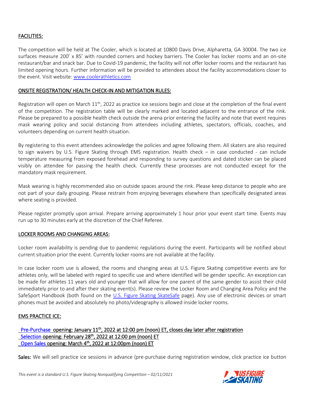# FACILITIES:

The competition will be held at The Cooler, which is located at 10800 Davis Drive, Alpharetta, GA 30004. The two ice surfaces measure 200' x 85' with rounded corners and hockey barriers. The Cooler has locker rooms and an on-site restaurant/bar and snack bar. Due to Covid-19 pandemic, the facility will not offer locker rooms and the restaurant has limited opening hours. Further information will be provided to attendees about the facility accommodations closer to the event. Visit website[: www.coolerathletics.com](http://www.coolerathletics.com/)

# ONSITE REGISTRATION/ HEALTH CHECK-IN AND MITIGATION RULES:

Registration will open on March  $11<sup>th</sup>$ , 2022 as practice ice sessions begin and close at the completion of the final event of the competition. The registration table will be clearly marked and located adjacent to the entrance of the rink. Please be prepared to a possible health check outside the arena prior entering the facility and note that event requires mask wearing policy and social distancing from attendees including athletes, spectators, officials, coaches, and volunteers depending on current health situation.

By registering to this event attendees acknowledge the policies and agree following them. All skaters are also required to sign waivers by U.S. Figure Skating through EMS registration. Health check – in case conducted - can include temperature measuring from exposed forehead and responding to survey questions and dated sticker can be placed visibly on attendee for passing the health check. Currently these processes are not conducted except for the mandatory mask requirement.

Mask wearing is highly recommended also on outside spaces around the rink. Please keep distance to people who are not part of your daily grouping. Please restrain from enjoying beverages elsewhere than specifically designated areas where seating is provided.

Please register promptly upon arrival. Prepare arriving approximately 1 hour prior your event start time. Events may run up to 30 minutes early at the discretion of the Chief Referee.

# LOCKER ROOMS AND CHANGING AREAS:

Locker room availability is pending due to pandemic regulations during the event. Participants will be notified about current situation prior the event. Currently locker rooms are not available at the facility.

In case locker room use is allowed, the rooms and changing areas at U.S. Figure Skating competitive events are for athletes only, will be labeled with regard to specific use and where identified will be gender specific. An exception can be made for athletes 11 years old and younger that will allow for one parent of the same gender to assist their child immediately prior to and after their skating event(s). Please review the Locker Room and Changing Area Policy and the SafeSport Handbook (both found on the [U.S. Figure Skating SkateSafe](https://www.usfigureskating.org/skatesafe) page). Any use of electronic devices or smart phones must be avoided and absolutely no photo/videography is allowed inside locker rooms.

### EMS PRACTICE ICE:

# [Pre-Purchase](https://public.3.basecamp.com/p/rqAXpFKf535Tp76yZk2dcL1b) opening: January 11<sup>th</sup>, 2022 at 12:00 pm (noon) ET, closes day later after registration [Selection](https://public.3.basecamp.com/p/KbtNr6DhEX1Rpf1ePW8LeUB6) opening: February 28<sup>th</sup>, 2022 at 12:00 pm (noon) ET [Open Sales](https://public.3.basecamp.com/p/ZFJN9NPbT99REMpExBTRupYX) opening: March 4<sup>th</sup>, 2022 at 12:00pm (noon) ET

Sales: We will sell practice ice sessions in advance (pre-purchase during registration window, click practice ice button

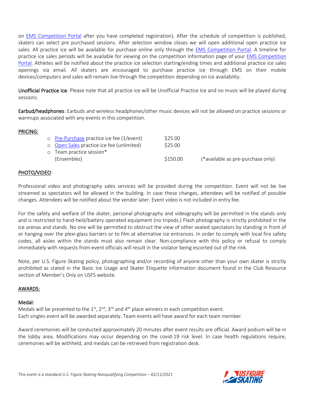on [EMS Competition Portal](https://m.usfigureskating.org/competition/30441) after you have completed registration). After the schedule of competition is published, skaters can select pre purchased sessions. After selection window closes we will open additional open practice ice sales. All practice ice will be available for purchase online only through the [EMS Competition Portal.](https://m.usfigureskating.org/competition/30441) A timeline for practice ice sales periods will be available for viewing on the competition information page of your [EMS Competition](https://m.usfigureskating.org/competition/30441)  [Portal.](https://m.usfigureskating.org/competition/30441) Athletes will be notified about the practice ice selection starting/ending times and additional practice ice sales openings via email. All skaters are encouraged to purchase practice ice through EMS on their mobile devices/computers and sales will remain live through the competition depending on ice availability.

Unofficial Practice Ice: Please note that all practice ice will be Unofficial Practice Ice and no music will be played during sessions.

Earbud/headphones: Earbuds and wireless headphones/other music devices will not be allowed on practice sessions or warmups associated with any events in this competition.

# PRICING:

| o Pre-Purchase practice ice fee (1/event)<br>o Open Sales practice ice fee (unlimited) | \$25.00<br>\$25.00 |                                   |
|----------------------------------------------------------------------------------------|--------------------|-----------------------------------|
| o Team practice session*                                                               |                    |                                   |
| (Ensembles)                                                                            | \$150.00           | (*available as pre-purchase only) |

# PHOTO/VIDEO:

Professional video and photography sales services will be provided during the competition. Event will not be live streamed as spectators will be allowed in the building. In case these changes, attendees will be notified of possible changes. Attendees will be notified about the vendor later. Event video is not included in entry fee.

For the safety and welfare of the skater, personal photography and videography will be permitted in the stands only and is restricted to hand-held/battery operated equipment (no tripods.) Flash photography is strictly prohibited in the ice arenas and stands. No one will be permitted to obstruct the view of other seated spectators by standing in front of or hanging over the plexi-glass barriers or to film at alternative ice entrances. In order to comply with local fire safety codes, all aisles within the stands must also remain clear. Non-compliance with this policy or refusal to comply immediately with requests from event officials will result in the violator being escorted out of the rink.

Note, per U.S. Figure Skating policy, photographing and/or recording of anyone other than your own skater is strictly prohibited as stated in the Basic Ice Usage and Skater Etiquette Information document found in the Club Resource section of Member's Only on USFS website.

### AWARDS:

### Medal:

Medals will be presented to the  $1<sup>st</sup>$ ,  $2<sup>nd</sup>$ ,  $3<sup>rd</sup>$  and  $4<sup>th</sup>$  place winners in each competition event. Each singles event will be awarded separately. Team events will have award for each team member.

Award ceremonies will be conducted approximately 20 minutes after event results are official. Award podium will be in the lobby area. Modifications may occur depending on the covid-19 risk level. In case health regulations require, ceremonies will be withheld, and medals can be retrieved from registration desk.

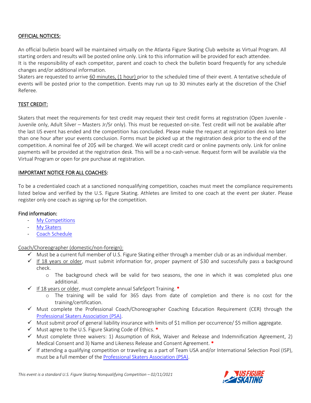# OFFICIAL NOTICES:

An official bulletin board will be maintained virtually on the Atlanta Figure Skating Club website as Virtual Program. All starting orders and results will be posted online only. Link to this information will be provided for each attendee. It is the responsibility of each competitor, parent and coach to check the bulletin board frequently for any schedule changes and/or additional information.

Skaters are requested to arrive 60 minutes, (1 hour) prior to the scheduled time of their event. A tentative schedule of events will be posted prior to the competition. Events may run up to 30 minutes early at the discretion of the Chief Referee.

# TEST CREDIT:

Skaters that meet the requirements for test credit may request their test credit forms at registration (Open Juvenile - Juvenile only, Adult Silver – Masters Jr/Sr only). This must be requested on-site. Test credit will not be available after the last IJS event has ended and the competition has concluded. Please make the request at registration desk no later than one hour after your events conclusion. Forms must be picked up at the registration desk prior to the end of the competition. A nominal fee of 20\$ will be charged. We will accept credit card or online payments only. Link for online payments will be provided at the registration desk. This will be a no-cash-venue. Request form will be available via the Virtual Program or open for pre purchase at registration.

### IMPORTANT NOTICE FOR ALL COACHES:

To be a credentialed coach at a sanctioned nonqualifying competition, coaches must meet the compliance requirements listed below and verified by the U.S. Figure Skating. Athletes are limited to one coach at the event per skater. Please register only one coach as signing up for the competition.

### Find information:

- [My Competitions](https://public.3.basecamp.com/p/rXE1uyVQqyg3xA7hzXAjpudM)
- [My Skaters](https://public.3.basecamp.com/p/w79NH9tSWWwJ17EjeUhdpy1V)
- Coach [Schedule](https://public.3.basecamp.com/p/3UXnPmqVfktsb1qEwg6AHR2h)

### Coach/Choreographer (domestic/non-foreign):

- ✓ Must be a current full member of U.S. Figure Skating either through a member club or as an individual member.
- ✓ If 18 years or older, must submit information for, proper payment of \$30 and successfully pass a background check.
	- o The background check will be valid for two seasons, the one in which it was completed plus one additional.
- $\checkmark$  If 18 years or older, must complete annual SafeSport Training.  $*$ 
	- o The training will be valid for 365 days from date of completion and there is no cost for the training/certification.
- $\checkmark$  Must complete the Professional Coach/Choreographer Coaching Education Requirement (CER) through the Professional [Skaters Association \(PSA\).](https://skatepsa.com/compliance)
- ✓ Must submit proof of general liability insurance with limits of \$1 million per occurrence/ \$5 million aggregate.
- $\checkmark$  Must agree to the U.S. Figure Skating Code of Ethics.  $*$
- $\checkmark$  Must complete three waivers: 1) Assumption of Risk, Waiver and Release and Indemnification Agreement, 2) Medical Consent and 3) Name and Likeness Release and Consent Agreement. \*
- $\checkmark$  If attending a qualifying competition or traveling as a part of Team USA and/or International Selection Pool (ISP), must be a full member of th[e Professional Skaters Association \(PSA\).](https://skatepsa.com/membership)

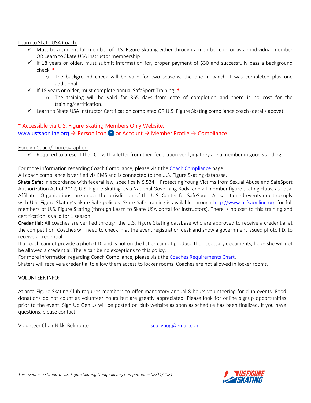Learn to Skate USA Coach:

- ✓ Must be a current full member of U.S. Figure Skating either through a member club or as an individual member OR Learn to Skate USA instructor membership
- $\checkmark$  If 18 years or older, must submit information for, proper payment of \$30 and successfully pass a background check. \*
	- o The background check will be valid for two seasons, the one in which it was completed plus one additional.
- $\checkmark$  If 18 years or older, must complete annual SafeSport Training.  $*$ 
	- o The training will be valid for 365 days from date of completion and there is no cost for the training/certification.
- ✓ Learn to Skate USA Instructor Certification completed OR U.S. Figure Skating compliance coach (details above)

# **\*** Accessible via U.S. Figure Skating Members Only Website: [www.usfsaonline.org](http://www.usfsaonline.org/)  $\rightarrow$  Person Icon  $\rightarrow$  or Account  $\rightarrow$  Member Profile  $\rightarrow$  Compliance

### Foreign Coach/Choreographer:

 $\checkmark$  Required to present the LOC with a letter from their federation verifying they are a member in good standing.

For more information regarding Coach Compliance, please visit the [Coach Compliance](https://www.usfigureskating.org/support/coach/coach-compliance) page.

All coach compliance is verified via EMS and is connected to the U.S. Figure Skating database.

Skate Safe: In accordance with federal law, specifically S.534 - Protecting Young Victims from Sexual Abuse and SafeSport Authorization Act of 2017, U.S. Figure Skating, as a National Governing Body, and all member figure skating clubs, as Local Affiliated Organizations, are under the jurisdiction of the U.S. Center for SafeSport. All sanctioned events must comply with U.S. Figure Skating's Skate Safe policies. Skate Safe training is available through [http://www.usfsaonline.org](http://www.usfsaonline.org/) for full members of U.S. Figure Skating (through Learn to Skate USA portal for instructors). There is no cost to this training and certification is valid for 1 season.

Credential: All coaches are verified through the U.S. Figure Skating database who are approved to receive a credential at the competition. Coaches will need to check in at the event registration desk and show a government issued photo I.D. to receive a credential.

If a coach cannot provide a photo I.D. and is not on the list or cannot produce the necessary documents, he or she will not be allowed a credential. There can be no exceptions to this policy.

For more information regarding Coach Compliance, please visit the [Coaches Requirements Chart.](https://fs12.formsite.com/USFSAIT/images/Coaches_Requirements_Chart.pdf)

Skaters will receive a credential to allow them access to locker rooms. Coaches are not allowed in locker rooms.

### VOLUNTEER INFO:

Atlanta Figure Skating Club requires members to offer mandatory annual 8 hours volunteering for club events. Food donations do not count as volunteer hours but are greatly appreciated. Please look for online signup opportunities prior to the event. Sign Up Genius will be posted on club website as soon as schedule has been finalized. If you have questions, please contact:

Volunteer Chair Nikki Belmonte [scullybug@gmail.com](mailto:scullybug@gmail.com)

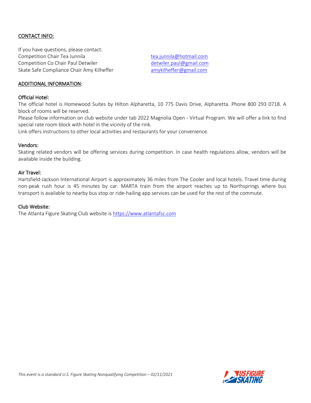# CONTACT INFO:

If you have questions, please contact: Competition Chair Tea Junnila [tea.junnila@hotmail.com](mailto:tea.junnila@hotmail.com) Competition Co Chair Paul Detwiler detwiler [detwiler.paul@gmail.com](mailto:detwiler.paul@gmail.com) Skate Safe Compliance Chair Amy Kilheffer and [amykilheffer@gmail.com](mailto:amykilheffer@gmail.com)

### ADDITIONAL INFORMATION:

#### Official Hotel:

The official hotel is Homewood Suites by Hilton Alpharetta, 10 775 Davis Drive, Alpharetta. Phone 800 293 0718. A block of rooms will be reserved.

Please follow information on club website under tab 2022 Magnolia Open - Virtual Program. We will offer a link to find special rate room block with hotel in the vicinity of the rink.

Link offers instructions to other local activities and restaurants for your convenience.

#### Vendors:

Skating related vendors will be offering services during competition. In case health regulations allow, vendors will be available inside the building.

#### Air Travel:

Hartsfield-Jackson International Airport is approximately 36 miles from The Cooler and local hotels. Travel time during non-peak rush hour is 45 minutes by car. MARTA train from the airport reaches up to Northsprings where bus transport is available to nearby bus stop or ride-hailing app services can be used for the rest of the commute.

#### Club Website:

The Atlanta Figure Skating Club website is [https://www.atlantafsc.com](https://www.atlantafsc.com/)